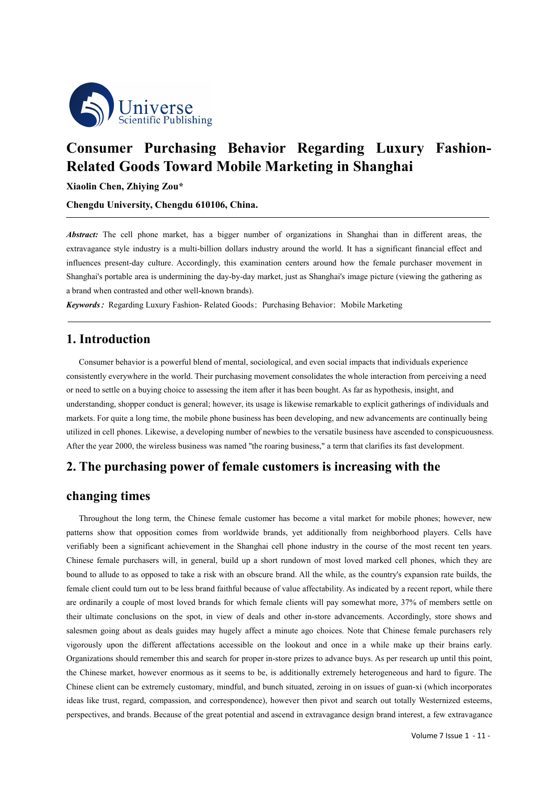

# **Consumer Purchasing Behavior Regarding Luxury Fashion- Related Goods Toward Mobile Marketing in Shanghai**

**Xiaolin Chen, Zhiying Zou\***

**Chengdu University, Chengdu 610106, China.**

*Abstract:* The cell phone market, has a bigger number of organizations in Shanghai than in different areas, the extravagance style industry is a multi-billion dollars industry around the world. It has a significant financial effect and influences present-day culture. Accordingly, this examination centers around how the female purchaser movement in Shanghai's portable area is undermining the day-by-day market, just as Shanghai's image picture (viewing the gathering as a brand when contrasted and other well-known brands).

*Keywords*: Regarding Luxury Fashion- Related Goods; Purchasing Behavior; Mobile Marketing

#### **1. Introduction**

Consumer behavior is a powerful blend of mental, sociological, and even social impacts that individuals experience consistently everywhere in the world. Their purchasing movement consolidates the whole interaction from perceiving a need or need to settle on a buying choice to assessing the item after it has been bought. As far as hypothesis, insight, and understanding, shopper conduct is general; however, its usage is likewise remarkable to explicit gatherings ofindividuals and markets. For quite a long time, the mobile phone business has been developing, and new advancements are continually being utilized in cell phones. Likewise, a developing number of newbies to the versatile business have ascended to conspicuousness. After the year 2000, the wireless business was named "the roaring business," a term that clarifies its fast development.

# **2. The purchasing power of female customers is increasing with the**

## **changing times**

Throughout the long term, the Chinese female customer has become a vital market for mobile phones; however, new patterns show that opposition comes from worldwide brands, yet additionally from neighborhood players. Cells have verifiably been a significant achievement in the Shanghai cell phone industry in the course of the most recent ten years. Chinese female purchasers will, in general, build up a short rundown of most loved marked cell phones, which they are bound to allude to as opposed to take a risk with an obscure brand. All the while, as the country's expansion rate builds, the female client could turn out to be less brand faithful because of value affectability. As indicated by a recent report, while there are ordinarily a couple of most loved brands for which female clients will pay somewhat more, 37% of members settle on their ultimate conclusions on the spot, in view of deals and other in-store advancements. Accordingly, store shows and salesmen going about as deals guides may hugely affect a minute ago choices. Note that Chinese female purchasers rely vigorously upon the different affectations accessible on the lookout and once in a while make up their brains early. Organizations should remember this and search for proper in-store prizes to advance buys. As per research up until this point, the Chinese market, however enormous as it seems to be, is additionally extremely heterogeneous and hard to figure. The Chinese client can be extremely customary, mindful, and bunch situated, zeroing in on issues of guan-xi (which incorporates ideas like trust, regard, compassion, and correspondence), however then pivot and search out totally Westernized esteems, perspectives, and brands. Because of the great potential and ascend in extravagance design brand interest, a few extravagance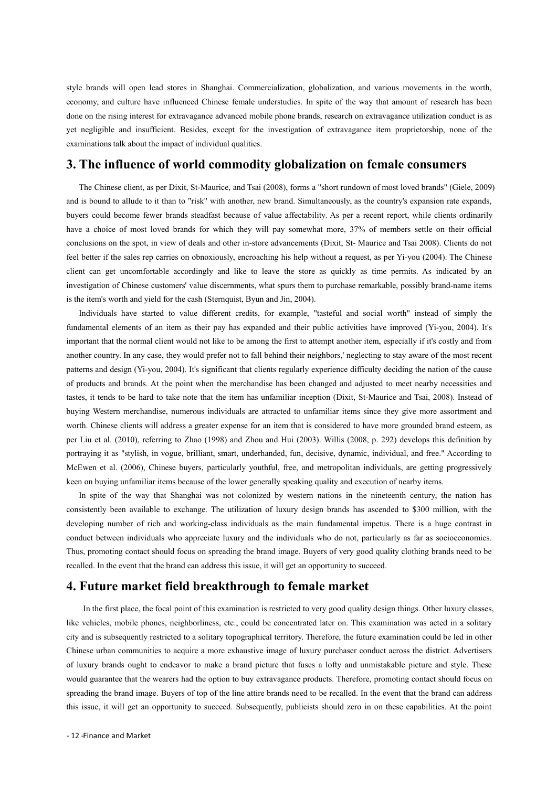style brands will open lead stores in Shanghai. Commercialization, globalization, and various movements in the worth, economy, and culture have influenced Chinese female understudies. In spite of the way that amount of research has been done on the rising interest for extravagance advanced mobile phone brands, research on extravagance utilization conduct is as yet negligible and insufficient. Besides, except for the investigation of extravagance item proprietorship, none of the examinations talk about the impact of individual qualities.

### **3. The influence of world commodity globalization on female consumers**

The Chinese client, as per Dixit, St-Maurice, and Tsai (2008), forms a "short rundown of most loved brands" (Giele, 2009) and is bound to allude to it than to "risk" with another, new brand. Simultaneously, as the country's expansion rate expands, buyers could become fewer brands steadfast because of value affectability. As per a recent report, while clients ordinarily have a choice of most loved brands for which they will pay somewhat more, 37% of members settle on their official conclusions on the spot, in view of deals and other in-store advancements (Dixit, St- Maurice and Tsai 2008). Clients do not feel better if the sales rep carries on obnoxiously, encroaching his help without a request, as per Yi-you (2004). The Chinese client can get uncomfortable accordingly and like to leave the store as quickly as time permits. As indicated by an investigation of Chinese customers' value discernments, what spurs them to purchase remarkable, possibly brand-name items is the item's worth and yield for the cash (Sternquist, Byun and Jin, 2004).

Individuals have started to value different credits, for example, "tasteful and social worth" instead of simply the fundamental elements of an item as their payhas expanded and their public activities have improved (Yi-you, 2004). It's important that the normal client would not like to be among the first to attempt another item, especially if it's costly and from another country. In any case, they would prefer not to fall behind their neighbors,' neglecting to stay aware of the most recent patterns and design (Yi-you, 2004). It's significant that clients regularly experience difficulty deciding the nation of the cause of products and brands. At the point when the merchandise has been changed and adjusted to meet nearby necessities and tastes, it tends to be hard to take note that the item has unfamiliar inception (Dixit, St-Maurice and Tsai, 2008). Instead of buying Western merchandise, numerous individuals are attracted to unfamiliar items since they give more assortment and worth. Chinese clients will address a greater expense for an item that is considered to have more grounded brand esteem, as per Liu et al. (2010), referring to Zhao (1998) and Zhou and Hui (2003). Willis (2008, p. 292) develops this definition by portraying it as "stylish, in vogue, brilliant, smart, underhanded, fun, decisive, dynamic, individual, and free." According to McEwen et al. (2006), Chinese buyers, particularly youthful, free, and metropolitan individuals, are getting progressively keen on buying unfamiliar items because of the lower generally speaking quality and execution of nearby items.

In spite of the way that Shanghai was not colonized by western nations in the nineteenth century, the nation has consistently been available to exchange. The utilization of luxury design brands has ascended to \$300 million, with the developing number of rich and working-class individuals as the main fundamental impetus. There is a huge contrast in conduct between individuals who appreciate luxury and the individuals who do not, particularly as far as socioeconomics. Thus, promoting contact should focus on spreading the brand image. Buyers of very good quality clothing brands need to be recalled. In the event that the brand can address this issue, it will get an opportunity to succeed.

#### **4. Future market field breakthrough tofemale market**

In the first place, the focal point of this examination is restricted to very good quality design things. Other luxury classes, like vehicles, mobile phones, neighborliness, etc., could be concentrated later on.This examination was acted in a solitary city and is subsequently restricted to a solitary topographical territory. Therefore, the future examination could be led in other Chinese urban communities to acquire a more exhaustive image of luxury purchaser conduct across the district. Advertisers of luxury brands ought to endeavor to make a brand picture that fuses a lofty and unmistakable picture and style. These would guarantee that the wearers had the option to buy extravagance products. Therefore, promoting contact should focus on spreading the brand image. Buyers of top of the line attire brands need to be recalled. In the event that the brand can address this issue, it will get an opportunity to succeed. Subsequently, publicists should zero in on these capabilities. At the point